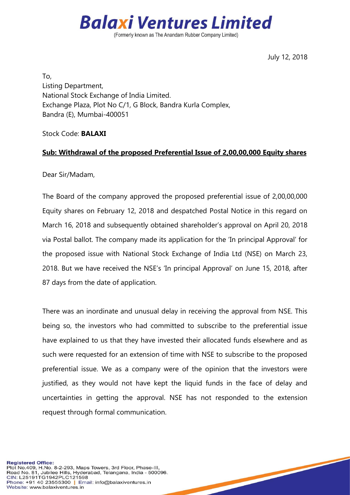

(Formerly known as The Anandam Rubber Company Limited)

July 12, 2018

To, Listing Department, National Stock Exchange of India Limited. Exchange Plaza, Plot No C/1, G Block, Bandra Kurla Complex, Bandra (E), Mumbai-400051

Stock Code: **BALAXI**

## **Sub: Withdrawal of the proposed Preferential Issue of 2,00,00,000 Equity shares**

Dear Sir/Madam,

The Board of the company approved the proposed preferential issue of 2,00,00,000 Equity shares on February 12, 2018 and despatched Postal Notice in this regard on March 16, 2018 and subsequently obtained shareholder's approval on April 20, 2018 via Postal ballot. The company made its application for the 'In principal Approval' for the proposed issue with National Stock Exchange of India Ltd (NSE) on March 23, 2018. But we have received the NSE's 'In principal Approval' on June 15, 2018, after 87 days from the date of application.

There was an inordinate and unusual delay in receiving the approval from NSE. This being so, the investors who had committed to subscribe to the preferential issue have explained to us that they have invested their allocated funds elsewhere and as such were requested for an extension of time with NSE to subscribe to the proposed preferential issue. We as a company were of the opinion that the investors were justified, as they would not have kept the liquid funds in the face of delay and uncertainties in getting the approval. NSE has not responded to the extension request through formal communication.